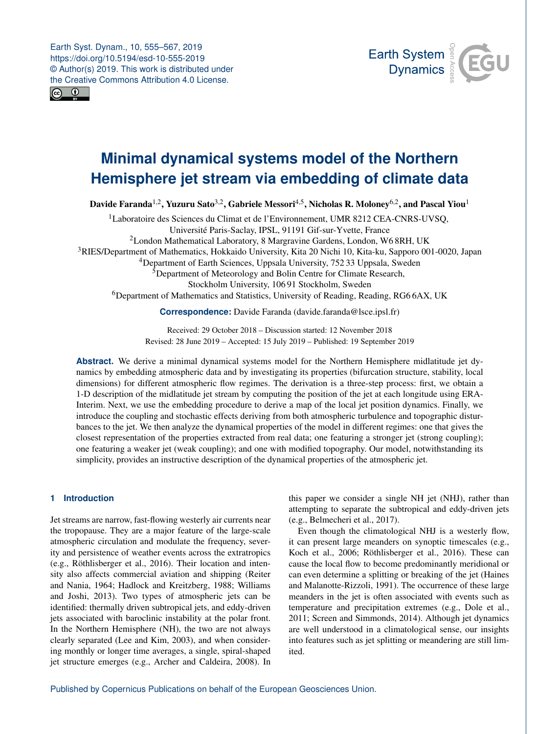<span id="page-0-1"></span>Earth Syst. Dynam., 10, 555–567, 2019 https://doi.org/10.5194/esd-10-555-2019 © Author(s) 2019. This work is distributed under the Creative Commons Attribution 4.0 License.





# **Minimal dynamical systems model of the Northern Hemisphere jet stream via embedding of climate data**

Davide Faranda $^{1,2}$  $^{1,2}$  $^{1,2}$ , Yuzuru Sato $^{3,2}$  $^{3,2}$  $^{3,2}$ , Gabriele Messori $^{4,5}$  $^{4,5}$  $^{4,5}$ , Nicholas R. Moloney $^{6,2}$  $^{6,2}$  $^{6,2}$ , and Pascal Yiou $^1$  $^1$ 

<sup>1</sup>Laboratoire des Sciences du Climat et de l'Environnement, UMR 8212 CEA-CNRS-UVSQ, Université Paris-Saclay, IPSL, 91191 Gif-sur-Yvette, France <sup>2</sup>London Mathematical Laboratory, 8 Margravine Gardens, London, W6 8RH, UK <sup>3</sup>RIES/Department of Mathematics, Hokkaido University, Kita 20 Nichi 10, Kita-ku, Sapporo 001-0020, Japan <sup>4</sup>Department of Earth Sciences, Uppsala University, 752 33 Uppsala, Sweden <sup>5</sup>Department of Meteorology and Bolin Centre for Climate Research, Stockholm University, 106 91 Stockholm, Sweden <sup>6</sup>Department of Mathematics and Statistics, University of Reading, Reading, RG6 6AX, UK

**Correspondence:** Davide Faranda (davide.faranda@lsce.ipsl.fr)

Received: 29 October 2018 – Discussion started: 12 November 2018 Revised: 28 June 2019 – Accepted: 15 July 2019 – Published: 19 September 2019

**Abstract.** We derive a minimal dynamical systems model for the Northern Hemisphere midlatitude jet dynamics by embedding atmospheric data and by investigating its properties (bifurcation structure, stability, local dimensions) for different atmospheric flow regimes. The derivation is a three-step process: first, we obtain a 1-D description of the midlatitude jet stream by computing the position of the jet at each longitude using ERA-Interim. Next, we use the embedding procedure to derive a map of the local jet position dynamics. Finally, we introduce the coupling and stochastic effects deriving from both atmospheric turbulence and topographic disturbances to the jet. We then analyze the dynamical properties of the model in different regimes: one that gives the closest representation of the properties extracted from real data; one featuring a stronger jet (strong coupling); one featuring a weaker jet (weak coupling); and one with modified topography. Our model, notwithstanding its simplicity, provides an instructive description of the dynamical properties of the atmospheric jet.

# <span id="page-0-0"></span>**1 Introduction**

Jet streams are narrow, fast-flowing westerly air currents near the tropopause. They are a major feature of the large-scale atmospheric circulation and modulate the frequency, severity and persistence of weather events across the extratropics (e.g., [Röthlisberger et al.,](#page-11-0) [2016\)](#page-11-0). Their location and intensity also affects commercial aviation and shipping [\(Reiter](#page-11-1) [and Nania,](#page-11-1) [1964;](#page-11-1) [Hadlock and Kreitzberg,](#page-11-2) [1988;](#page-11-2) [Williams](#page-12-0) [and Joshi,](#page-12-0) [2013\)](#page-12-0). Two types of atmospheric jets can be identified: thermally driven subtropical jets, and eddy-driven jets associated with baroclinic instability at the polar front. In the Northern Hemisphere (NH), the two are not always clearly separated [\(Lee and Kim,](#page-11-3) [2003\)](#page-11-3), and when considering monthly or longer time averages, a single, spiral-shaped jet structure emerges (e.g., [Archer and Caldeira,](#page-10-0) [2008\)](#page-10-0). In

this paper we consider a single NH jet (NHJ), rather than attempting to separate the subtropical and eddy-driven jets (e.g., [Belmecheri et al.,](#page-10-1) [2017\)](#page-10-1).

Even though the climatological NHJ is a westerly flow, it can present large meanders on synoptic timescales (e.g., [Koch et al.,](#page-11-4) [2006;](#page-11-4) [Röthlisberger et al.,](#page-11-0) [2016\)](#page-11-0). These can cause the local flow to become predominantly meridional or can even determine a splitting or breaking of the jet [\(Haines](#page-11-5) [and Malanotte-Rizzoli,](#page-11-5) [1991\)](#page-11-5). The occurrence of these large meanders in the jet is often associated with events such as temperature and precipitation extremes (e.g., [Dole et al.,](#page-10-2) [2011;](#page-10-2) [Screen and Simmonds,](#page-11-6) [2014\)](#page-11-6). Although jet dynamics are well understood in a climatological sense, our insights into features such as jet splitting or meandering are still limited.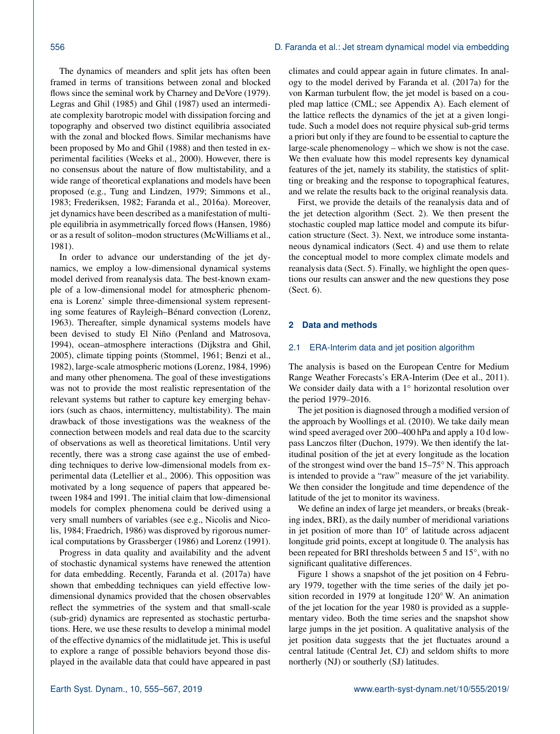The dynamics of meanders and split jets has often been framed in terms of transitions between zonal and blocked flows since the seminal work by [Charney and DeVore](#page-10-3) [\(1979\)](#page-10-3). [Legras and Ghil](#page-11-7) [\(1985\)](#page-11-7) and [Ghil](#page-11-8) [\(1987\)](#page-11-8) used an intermediate complexity barotropic model with dissipation forcing and topography and observed two distinct equilibria associated with the zonal and blocked flows. Similar mechanisms have been proposed by [Mo and Ghil](#page-11-9) [\(1988\)](#page-11-9) and then tested in experimental facilities [\(Weeks et al.,](#page-12-1) [2000\)](#page-12-1). However, there is no consensus about the nature of flow multistability, and a wide range of theoretical explanations and models have been proposed (e.g., [Tung and Lindzen,](#page-12-2) [1979;](#page-12-2) [Simmons et al.,](#page-11-10) [1983;](#page-11-10) [Frederiksen,](#page-10-4) [1982;](#page-10-4) [Faranda et al.,](#page-10-5) [2016a\)](#page-10-5). Moreover, jet dynamics have been described as a manifestation of multiple equilibria in asymmetrically forced flows [\(Hansen,](#page-11-11) [1986\)](#page-11-11) or as a result of soliton–modon structures [\(McWilliams et al.,](#page-11-12) [1981\)](#page-11-12).

In order to advance our understanding of the jet dynamics, we employ a low-dimensional dynamical systems model derived from reanalysis data. The best-known example of a low-dimensional model for atmospheric phenomena is Lorenz' simple three-dimensional system representing some features of Rayleigh–Bénard convection [\(Lorenz,](#page-11-13) [1963\)](#page-11-13). Thereafter, simple dynamical systems models have been devised to study El Niño [\(Penland and Matrosova,](#page-11-14) [1994\)](#page-11-14), ocean–atmosphere interactions [\(Dijkstra and Ghil,](#page-10-6) [2005\)](#page-10-6), climate tipping points [\(Stommel,](#page-11-15) [1961;](#page-11-15) [Benzi et al.,](#page-10-7) [1982\)](#page-10-7), large-scale atmospheric motions [\(Lorenz,](#page-11-16) [1984,](#page-11-16) [1996\)](#page-11-17) and many other phenomena. The goal of these investigations was not to provide the most realistic representation of the relevant systems but rather to capture key emerging behaviors (such as chaos, intermittency, multistability). The main drawback of those investigations was the weakness of the connection between models and real data due to the scarcity of observations as well as theoretical limitations. Until very recently, there was a strong case against the use of embedding techniques to derive low-dimensional models from experimental data [\(Letellier et al.,](#page-11-18) [2006\)](#page-11-18). This opposition was motivated by a long sequence of papers that appeared between 1984 and 1991. The initial claim that low-dimensional models for complex phenomena could be derived using a very small numbers of variables (see e.g., [Nicolis and Nico](#page-11-19)[lis,](#page-11-19) [1984;](#page-11-19) [Fraedrich,](#page-10-8) [1986\)](#page-10-8) was disproved by rigorous numerical computations by [Grassberger](#page-11-20) [\(1986\)](#page-11-20) and [Lorenz](#page-11-21) [\(1991\)](#page-11-21).

Progress in data quality and availability and the advent of stochastic dynamical systems have renewed the attention for data embedding. Recently, [Faranda et al.](#page-10-9) [\(2017a\)](#page-10-9) have shown that embedding techniques can yield effective lowdimensional dynamics provided that the chosen observables reflect the symmetries of the system and that small-scale (sub-grid) dynamics are represented as stochastic perturbations. Here, we use these results to develop a minimal model of the effective dynamics of the midlatitude jet. This is useful to explore a range of possible behaviors beyond those displayed in the available data that could have appeared in past climates and could appear again in future climates. In analogy to the model derived by [Faranda et al.](#page-10-9) [\(2017a\)](#page-10-9) for the von Karman turbulent flow, the jet model is based on a coupled map lattice (CML; see Appendix [A\)](#page-9-0). Each element of the lattice reflects the dynamics of the jet at a given longitude. Such a model does not require physical sub-grid terms a priori but only if they are found to be essential to capture the large-scale phenomenology – which we show is not the case. We then evaluate how this model represents key dynamical features of the jet, namely its stability, the statistics of splitting or breaking and the response to topographical features, and we relate the results back to the original reanalysis data.

First, we provide the details of the reanalysis data and of the jet detection algorithm (Sect. [2\)](#page-1-0). We then present the stochastic coupled map lattice model and compute its bifurcation structure (Sect. [3\)](#page-3-0). Next, we introduce some instantaneous dynamical indicators (Sect. [4\)](#page-5-0) and use them to relate the conceptual model to more complex climate models and reanalysis data (Sect. [5\)](#page-7-0). Finally, we highlight the open questions our results can answer and the new questions they pose (Sect. [6\)](#page-7-1).

#### <span id="page-1-0"></span>**2 Data and methods**

## 2.1 ERA-Interim data and jet position algorithm

The analysis is based on the European Centre for Medium Range Weather Forecasts's ERA-Interim [\(Dee et al.,](#page-10-10) [2011\)](#page-10-10). We consider daily data with a 1◦ horizontal resolution over the period 1979–2016.

The jet position is diagnosed through a modified version of the approach by [Woollings et al.](#page-12-3) [\(2010\)](#page-12-3). We take daily mean wind speed averaged over 200–400 hPa and apply a 10 d lowpass Lanczos filter [\(Duchon,](#page-10-11) [1979\)](#page-10-11). We then identify the latitudinal position of the jet at every longitude as the location of the strongest wind over the band 15–75◦ N. This approach is intended to provide a "raw" measure of the jet variability. We then consider the longitude and time dependence of the latitude of the jet to monitor its waviness.

We define an index of large jet meanders, or breaks (breaking index, BRI), as the daily number of meridional variations in jet position of more than 10◦ of latitude across adjacent longitude grid points, except at longitude 0. The analysis has been repeated for BRI thresholds between 5 and 15°, with no significant qualitative differences.

Figure [1](#page-2-0) shows a snapshot of the jet position on 4 February 1979, together with the time series of the daily jet position recorded in 1979 at longitude 120◦ W. An animation of the jet location for the year 1980 is provided as a supplementary video. Both the time series and the snapshot show large jumps in the jet position. A qualitative analysis of the jet position data suggests that the jet fluctuates around a central latitude (Central Jet, CJ) and seldom shifts to more northerly (NJ) or southerly (SJ) latitudes.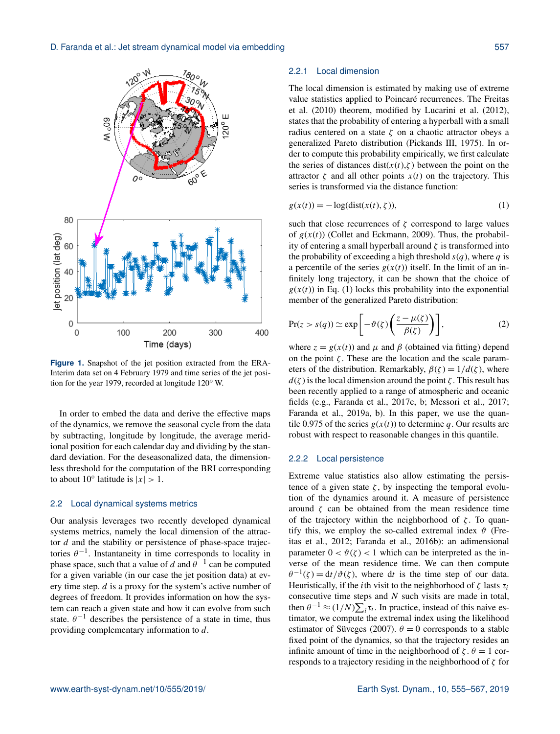<span id="page-2-0"></span>

**Figure 1.** Snapshot of the jet position extracted from the ERA-Interim data set on 4 February 1979 and time series of the jet position for the year 1979, recorded at longitude 120◦ W.

In order to embed the data and derive the effective maps of the dynamics, we remove the seasonal cycle from the data by subtracting, longitude by longitude, the average meridional position for each calendar day and dividing by the standard deviation. For the deseasonalized data, the dimensionless threshold for the computation of the BRI corresponding to about 10 $^{\circ}$  latitude is  $|x| > 1$ .

# <span id="page-2-2"></span>2.2 Local dynamical systems metrics

Our analysis leverages two recently developed dynamical systems metrics, namely the local dimension of the attractor d and the stability or persistence of phase-space trajectories  $\theta^{-1}$ . Instantaneity in time corresponds to locality in phase space, such that a value of d and  $\theta^{-1}$  can be computed for a given variable (in our case the jet position data) at every time step. d is a proxy for the system's active number of degrees of freedom. It provides information on how the system can reach a given state and how it can evolve from such state.  $\theta^{-1}$  describes the persistence of a state in time, thus providing complementary information to d.

## 2.2.1 Local dimension

The local dimension is estimated by making use of extreme value statistics applied to Poincaré recurrences. The [Freitas](#page-11-22) [et al.](#page-11-22) [\(2010\)](#page-11-22) theorem, modified by [Lucarini et al.](#page-11-23) [\(2012\)](#page-11-23), states that the probability of entering a hyperball with a small radius centered on a state  $\zeta$  on a chaotic attractor obeys a generalized Pareto distribution [\(Pickands III,](#page-11-24) [1975\)](#page-11-24). In order to compute this probability empirically, we first calculate the series of distances dist( $x(t), \zeta$ ) between the point on the attractor  $\zeta$  and all other points  $x(t)$  on the trajectory. This series is transformed via the distance function:

<span id="page-2-1"></span>
$$
g(x(t)) = -\log(\text{dist}(x(t), \zeta)),\tag{1}
$$

such that close recurrences of  $\zeta$  correspond to large values of  $g(x(t))$  [\(Collet and Eckmann,](#page-10-12) [2009\)](#page-10-12). Thus, the probability of entering a small hyperball around  $\zeta$  is transformed into the probability of exceeding a high threshold  $s(q)$ , where q is a percentile of the series  $g(x(t))$  itself. In the limit of an infinitely long trajectory, it can be shown that the choice of  $g(x(t))$  in Eq. [\(1\)](#page-2-1) locks this probability into the exponential member of the generalized Pareto distribution:

$$
\Pr(z > s(q)) \simeq \exp\left[-\vartheta(\zeta)\left(\frac{z-\mu(\zeta)}{\beta(\zeta)}\right)\right],\tag{2}
$$

where  $z = g(x(t))$  and  $\mu$  and  $\beta$  (obtained via fitting) depend on the point  $\zeta$ . These are the location and the scale parameters of the distribution. Remarkably,  $\beta(\zeta) = 1/d(\zeta)$ , where  $d(\zeta)$  is the local dimension around the point  $\zeta$ . This result has been recently applied to a range of atmospheric and oceanic fields (e.g., [Faranda et al.,](#page-10-13) [2017c,](#page-10-13) [b;](#page-10-14) [Messori et al.,](#page-11-25) [2017;](#page-11-25) [Faranda et al.,](#page-10-15) [2019a,](#page-10-15) [b\)](#page-10-16). In this paper, we use the quantile 0.975 of the series  $g(x(t))$  to determine q. Our results are robust with respect to reasonable changes in this quantile.

# 2.2.2 Local persistence

Extreme value statistics also allow estimating the persistence of a given state  $\zeta$ , by inspecting the temporal evolution of the dynamics around it. A measure of persistence around  $\zeta$  can be obtained from the mean residence time of the trajectory within the neighborhood of  $\zeta$ . To quantify this, we employ the so-called extremal index  $\vartheta$  [\(Fre](#page-11-26)[itas et al.,](#page-11-26) [2012;](#page-11-26) [Faranda et al.,](#page-10-17) [2016b\)](#page-10-17): an adimensional parameter  $0 < \vartheta(\zeta) < 1$  which can be interpreted as the inverse of the mean residence time. We can then compute  $\theta^{-1}(\zeta) = dt/\vartheta(\zeta)$ , where dt is the time step of our data. Heuristically, if the *i*th visit to the neighborhood of  $\zeta$  lasts  $\tau_i$ consecutive time steps and  $N$  such visits are made in total, then  $\theta^{-1} \approx (1/N) \sum_{i} \tau_i$ . In practice, instead of this naive estimator, we compute the extremal index using the likelihood estimator of [Süveges](#page-11-27) [\(2007\)](#page-11-27).  $\theta = 0$  corresponds to a stable fixed point of the dynamics, so that the trajectory resides an infinite amount of time in the neighborhood of  $\zeta$ .  $\theta = 1$  corresponds to a trajectory residing in the neighborhood of  $\zeta$  for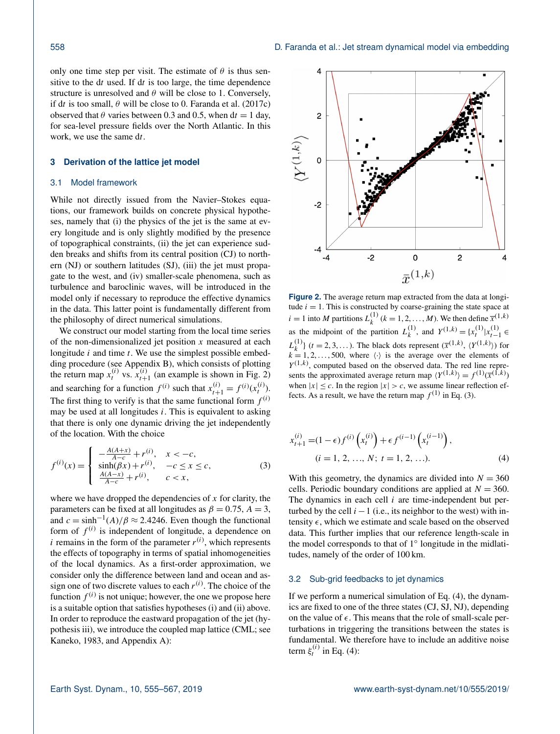only one time step per visit. The estimate of  $\theta$  is thus sensitive to the  $dt$  used. If  $dt$  is too large, the time dependence structure is unresolved and  $\theta$  will be close to 1. Conversely, if dt is too small,  $\theta$  will be close to 0. [Faranda et al.](#page-10-13) [\(2017c\)](#page-10-13) observed that  $\theta$  varies between 0.3 and 0.5, when dt = 1 day, for sea-level pressure fields over the North Atlantic. In this work, we use the same dt.

# <span id="page-3-0"></span>**3 Derivation of the lattice jet model**

#### 3.1 Model framework

While not directly issued from the Navier–Stokes equations, our framework builds on concrete physical hypotheses, namely that (i) the physics of the jet is the same at every longitude and is only slightly modified by the presence of topographical constraints, (ii) the jet can experience sudden breaks and shifts from its central position (CJ) to northern (NJ) or southern latitudes (SJ), (iii) the jet must propagate to the west, and (iv) smaller-scale phenomena, such as turbulence and baroclinic waves, will be introduced in the model only if necessary to reproduce the effective dynamics in the data. This latter point is fundamentally different from the philosophy of direct numerical simulations.

We construct our model starting from the local time series of the non-dimensionalized jet position  $x$  measured at each longitude  $i$  and time  $t$ . We use the simplest possible embedding procedure (see Appendix [B\)](#page-9-1), which consists of plotting the return map  $x_t^{(i)}$  vs.  $x_{t+1}^{(i)}$  (an example is shown in Fig. [2\)](#page-3-1) and searching for a function  $f^{(i)}$  such that  $x_{t+1}^{(i)} = f^{(i)}(x_t^{(i)})$ . The first thing to verify is that the same functional form  $f^{(i)}$ may be used at all longitudes  $i$ . This is equivalent to asking that there is only one dynamic driving the jet independently of the location. With the choice

$$
f^{(i)}(x) = \begin{cases} -\frac{A(A+x)}{A-c} + r^{(i)}, & x < -c, \\ \sinh(\beta x) + r^{(i)}, & -c \le x \le c, \\ \frac{A(A-x)}{A-c} + r^{(i)}, & c < x, \end{cases}
$$
(3)

where we have dropped the dependencies of  $x$  for clarity, the parameters can be fixed at all longitudes as  $\beta = 0.75$ ,  $A = 3$ , and  $c = \sinh^{-1}(A)/\beta \approx 2.4246$ . Even though the functional form of  $f^{(i)}$  is independent of longitude, a dependence on *i* remains in the form of the parameter  $r^{(i)}$ , which represents the effects of topography in terms of spatial inhomogeneities of the local dynamics. As a first-order approximation, we consider only the difference between land and ocean and assign one of two discrete values to each  $r^{(i)}$ . The choice of the function  $f^{(i)}$  is not unique; however, the one we propose here is a suitable option that satisfies hypotheses (i) and (ii) above. In order to reproduce the eastward propagation of the jet (hypothesis iii), we introduce the coupled map lattice (CML; see [Kaneko,](#page-11-28) [1983,](#page-11-28) and Appendix [A\)](#page-9-0):

<span id="page-3-1"></span>

**Figure 2.** The average return map extracted from the data at longitude  $i = 1$ . This is constructed by coarse-graining the state space at  $i = 1$  into M partitions  $L_k^{(1)}$  $k_k^{(1)}$   $(k = 1, 2, ..., M)$ . We then define  $\bar{x}^{(1,k)}$ as the midpoint of the partition  $L_k^{(1)}$  $\chi_k^{(1)}$ , and  $Y^{(1,k)} = \{x_t^{(1)} | x_{t-1}^{(1)} \in$  $L_k^{(1)}$  $\{k^{(1)}\}$  ( $t = 2, 3, \ldots$ ). The black dots represent  $(\bar{x}^{(1,k)}, \langle Y^{(1,k)} \rangle)$  for  $k = 1, 2, \ldots, 500$ , where  $\langle \cdot \rangle$  is the average over the elements of  $Y^{(1,k)}$ , computed based on the observed data. The red line represents the approximated average return map  $\langle Y^{(1,k)} \rangle = f^{(1)}(\overline{x}^{(1,k)})$ when  $|x| \leq c$ . In the region  $|x| > c$ , we assume linear reflection effects. As a result, we have the return map  $f^{(1)}$  in Eq. [\(3\)](#page-3-2).

<span id="page-3-3"></span>
$$
x_{t+1}^{(i)} = (1 - \epsilon)f^{(i)}\left(x_t^{(i)}\right) + \epsilon f^{(i-1)}\left(x_t^{(i-1)}\right),
$$
  
(*i* = 1, 2, ..., *N*; *t* = 1, 2, ...). (4)

<span id="page-3-2"></span>With this geometry, the dynamics are divided into  $N = 360$ cells. Periodic boundary conditions are applied at  $N = 360$ . The dynamics in each cell  $i$  are time-independent but perturbed by the cell  $i - 1$  (i.e., its neighbor to the west) with intensity  $\epsilon$ , which we estimate and scale based on the observed data. This further implies that our reference length-scale in the model corresponds to that of 1° longitude in the midlatitudes, namely of the order of 100 km.

#### <span id="page-3-4"></span>3.2 Sub-grid feedbacks to jet dynamics

If we perform a numerical simulation of Eq. [\(4\)](#page-3-3), the dynamics are fixed to one of the three states (CJ, SJ, NJ), depending on the value of  $\epsilon$ . This means that the role of small-scale perturbations in triggering the transitions between the states is fundamental. We therefore have to include an additive noise term  $\xi_t^{(i)}$  in Eq. [\(4\)](#page-3-3):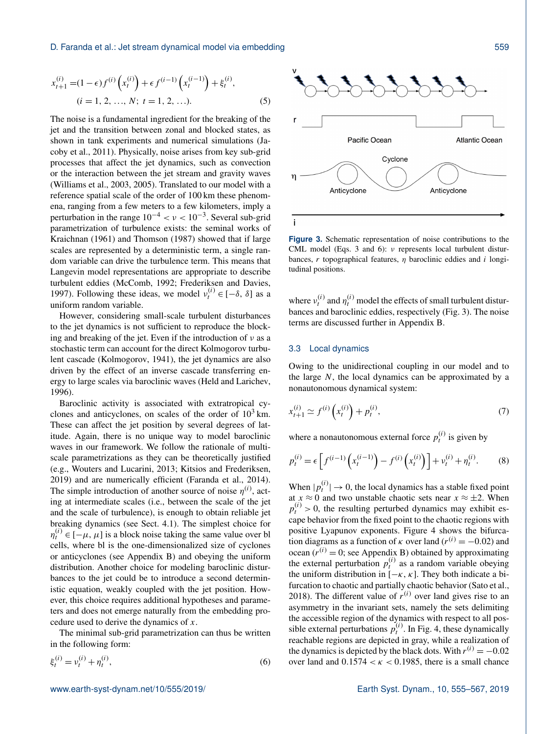#### D. Faranda et al.: Jet stream dynamical model via embedding 559

$$
x_{t+1}^{(i)} = (1 - \epsilon) f^{(i)} \left( x_t^{(i)} \right) + \epsilon f^{(i-1)} \left( x_t^{(i-1)} \right) + \xi_t^{(i)},
$$
  
(*i* = 1, 2, ..., *N*; *t* = 1, 2, ...). (5)

The noise is a fundamental ingredient for the breaking of the jet and the transition between zonal and blocked states, as shown in tank experiments and numerical simulations [\(Ja](#page-11-29)[coby et al.,](#page-11-29) [2011\)](#page-11-29). Physically, noise arises from key sub-grid processes that affect the jet dynamics, such as convection or the interaction between the jet stream and gravity waves [\(Williams et al.,](#page-12-4) [2003,](#page-12-4) [2005\)](#page-12-5). Translated to our model with a reference spatial scale of the order of 100 km these phenomena, ranging from a few meters to a few kilometers, imply a perturbation in the range  $10^{-4} < v < 10^{-3}$ . Several sub-grid parametrization of turbulence exists: the seminal works of [Kraichnan](#page-11-30) [\(1961\)](#page-11-30) and [Thomson](#page-11-31) [\(1987\)](#page-11-31) showed that if large scales are represented by a deterministic term, a single random variable can drive the turbulence term. This means that Langevin model representations are appropriate to describe turbulent eddies [\(McComb,](#page-11-32) [1992;](#page-11-32) [Frederiksen and Davies,](#page-10-18) [1997\)](#page-10-18). Following these ideas, we model  $v_t^{(i)} \in [-\delta, \delta]$  as a uniform random variable.

However, considering small-scale turbulent disturbances to the jet dynamics is not sufficient to reproduce the blocking and breaking of the jet. Even if the introduction of  $\nu$  as a stochastic term can account for the direct Kolmogorov turbulent cascade [\(Kolmogorov,](#page-11-33) [1941\)](#page-11-33), the jet dynamics are also driven by the effect of an inverse cascade transferring energy to large scales via baroclinic waves [\(Held and Larichev,](#page-11-34) [1996\)](#page-11-34).

Baroclinic activity is associated with extratropical cyclones and anticyclones, on scales of the order of  $10<sup>3</sup>$  km. These can affect the jet position by several degrees of latitude. Again, there is no unique way to model baroclinic waves in our framework. We follow the rationale of multiscale parametrizations as they can be theoretically justified (e.g., [Wouters and Lucarini,](#page-12-6) [2013;](#page-12-6) [Kitsios and Frederiksen,](#page-11-35) [2019\)](#page-11-35) and are numerically efficient [\(Faranda et al.,](#page-10-19) [2014\)](#page-10-19). The simple introduction of another source of noise  $\eta^{(i)}$ , acting at intermediate scales (i.e., between the scale of the jet and the scale of turbulence), is enough to obtain reliable jet breaking dynamics (see Sect. [4.1\)](#page-5-1). The simplest choice for  $\eta_t^{(i)} \in [-\mu, \mu]$  is a block noise taking the same value over bl cells, where bl is the one-dimensionalized size of cyclones or anticyclones (see Appendix [B\)](#page-9-1) and obeying the uniform distribution. Another choice for modeling baroclinic disturbances to the jet could be to introduce a second deterministic equation, weakly coupled with the jet position. However, this choice requires additional hypotheses and parameters and does not emerge naturally from the embedding procedure used to derive the dynamics of x.

The minimal sub-grid parametrization can thus be written in the following form:

$$
\xi_t^{(i)} = v_t^{(i)} + \eta_t^{(i)},\tag{6}
$$

<span id="page-4-1"></span>

**Figure 3.** Schematic representation of noise contributions to the CML model (Eqs. [3](#page-3-2) and [6\)](#page-4-0): ν represents local turbulent disturbances, r topographical features,  $\eta$  baroclinic eddies and i longitudinal positions.

where  $v_t^{(i)}$  and  $\eta_t^{(i)}$  model the effects of small turbulent disturbances and baroclinic eddies, respectively (Fig. [3\)](#page-4-1). The noise terms are discussed further in Appendix [B.](#page-9-1)

# 3.3 Local dynamics

Owing to the unidirectional coupling in our model and to the large  $N$ , the local dynamics can be approximated by a nonautonomous dynamical system:

$$
x_{t+1}^{(i)} \simeq f^{(i)}\left(x_t^{(i)}\right) + p_t^{(i)},\tag{7}
$$

where a nonautonomous external force  $p_t^{(i)}$  is given by

$$
p_t^{(i)} = \epsilon \left[ f^{(i-1)} \left( x_t^{(i-1)} \right) - f^{(i)} \left( x_t^{(i)} \right) \right] + v_t^{(i)} + \eta_t^{(i)}.
$$
 (8)

<span id="page-4-0"></span>When  $|p_t^{(i)}| \to 0$ , the local dynamics has a stable fixed point at  $x \approx 0$  and two unstable chaotic sets near  $x \approx \pm 2$ . When  $p_t^{(i)} > 0$ , the resulting perturbed dynamics may exhibit escape behavior from the fixed point to the chaotic regions with positive Lyapunov exponents. Figure [4](#page-5-2) shows the bifurcation diagrams as a function of  $\kappa$  over land ( $r^{(i)} = -0.02$ ) and ocean ( $r^{(i)} = 0$ ; see Appendix [B\)](#page-9-1) obtained by approximating the external perturbation  $p_t^{(i)}$  as a random variable obeying the uniform distribution in  $[-\kappa, \kappa]$ . They both indicate a bifurcation to chaotic and partially chaotic behavior [\(Sato et al.,](#page-11-36) [2018\)](#page-11-36). The different value of  $r^{(i)}$  over land gives rise to an asymmetry in the invariant sets, namely the sets delimiting the accessible region of the dynamics with respect to all possible external perturbations  $p_t^{(i)}$ . In Fig. [4,](#page-5-2) these dynamically reachable regions are depicted in gray, while a realization of the dynamics is depicted by the black dots. With  $r^{(i)} = -0.02$ over land and  $0.1574 < \kappa < 0.1985$ , there is a small chance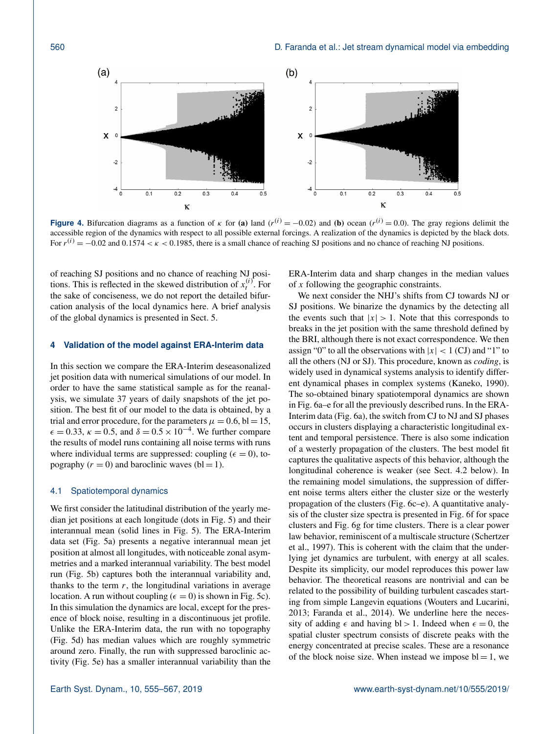<span id="page-5-2"></span>

**Figure 4.** Bifurcation diagrams as a function of  $\kappa$  for (a) land ( $r^{(i)} = -0.02$ ) and (b) ocean ( $r^{(i)} = 0.0$ ). The gray regions delimit the accessible region of the dynamics with respect to all possible external forcings. A realization of the dynamics is depicted by the black dots. For  $r^{(i)} = -0.02$  and  $0.1574 < \kappa < 0.1985$ , there is a small chance of reaching SJ positions and no chance of reaching NJ positions.

of reaching SJ positions and no chance of reaching NJ positions. This is reflected in the skewed distribution of  $x_t^{(i)}$ . For the sake of conciseness, we do not report the detailed bifurcation analysis of the local dynamics here. A brief analysis of the global dynamics is presented in Sect. [5.](#page-7-0)

# <span id="page-5-0"></span>**4 Validation of the model against ERA-Interim data**

In this section we compare the ERA-Interim deseasonalized jet position data with numerical simulations of our model. In order to have the same statistical sample as for the reanalysis, we simulate 37 years of daily snapshots of the jet position. The best fit of our model to the data is obtained, by a trial and error procedure, for the parameters  $\mu = 0.6$ , bl = 15,  $\epsilon = 0.33$ ,  $\kappa = 0.5$ , and  $\delta = 0.5 \times 10^{-4}$ . We further compare the results of model runs containing all noise terms with runs where individual terms are suppressed: coupling ( $\epsilon = 0$ ), topography  $(r = 0)$  and baroclinic waves  $(bl = 1)$ .

# <span id="page-5-1"></span>4.1 Spatiotemporal dynamics

We first consider the latitudinal distribution of the yearly median jet positions at each longitude (dots in Fig. [5\)](#page-6-0) and their interannual mean (solid lines in Fig. [5\)](#page-6-0). The ERA-Interim data set (Fig. [5a](#page-6-0)) presents a negative interannual mean jet position at almost all longitudes, with noticeable zonal asymmetries and a marked interannual variability. The best model run (Fig. [5b](#page-6-0)) captures both the interannual variability and, thanks to the term  $r$ , the longitudinal variations in average location. A run without coupling ( $\epsilon = 0$ ) is shown in Fig. [5c](#page-6-0)). In this simulation the dynamics are local, except for the presence of block noise, resulting in a discontinuous jet profile. Unlike the ERA-Interim data, the run with no topography (Fig. [5d](#page-6-0)) has median values which are roughly symmetric around zero. Finally, the run with suppressed baroclinic activity (Fig. [5e](#page-6-0)) has a smaller interannual variability than the ERA-Interim data and sharp changes in the median values of x following the geographic constraints.

We next consider the NHJ's shifts from CJ towards NJ or SJ positions. We binarize the dynamics by the detecting all the events such that  $|x| > 1$ . Note that this corresponds to breaks in the jet position with the same threshold defined by the BRI, although there is not exact correspondence. We then assign "0" to all the observations with  $|x| < 1$  (CJ) and "1" to all the others (NJ or SJ). This procedure, known as *coding*, is widely used in dynamical systems analysis to identify different dynamical phases in complex systems [\(Kaneko,](#page-11-37) [1990\)](#page-11-37). The so-obtained binary spatiotemporal dynamics are shown in Fig. [6a](#page-7-2)–e for all the previously described runs. In the ERA-Interim data (Fig. [6a](#page-7-2)), the switch from CJ to NJ and SJ phases occurs in clusters displaying a characteristic longitudinal extent and temporal persistence. There is also some indication of a westerly propagation of the clusters. The best model fit captures the qualitative aspects of this behavior, although the longitudinal coherence is weaker (see Sect. [4.2](#page-6-1) below). In the remaining model simulations, the suppression of different noise terms alters either the cluster size or the westerly propagation of the clusters (Fig. [6c](#page-7-2)–e). A quantitative analysis of the cluster size spectra is presented in Fig. [6f](#page-7-2) for space clusters and Fig. [6g](#page-7-2) for time clusters. There is a clear power law behavior, reminiscent of a multiscale structure [\(Schertzer](#page-11-38) [et al.,](#page-11-38) [1997\)](#page-11-38). This is coherent with the claim that the underlying jet dynamics are turbulent, with energy at all scales. Despite its simplicity, our model reproduces this power law behavior. The theoretical reasons are nontrivial and can be related to the possibility of building turbulent cascades starting from simple Langevin equations [\(Wouters and Lucarini,](#page-12-6) [2013;](#page-12-6) [Faranda et al.,](#page-10-19) [2014\)](#page-10-19). We underline here the necessity of adding  $\epsilon$  and having bl > 1. Indeed when  $\epsilon = 0$ , the spatial cluster spectrum consists of discrete peaks with the energy concentrated at precise scales. These are a resonance of the block noise size. When instead we impose  $bl = 1$ , we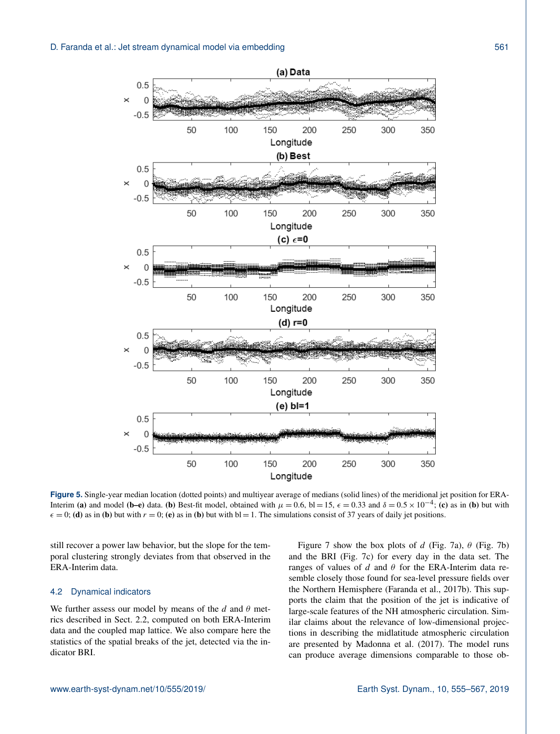<span id="page-6-0"></span>

**Figure 5.** Single-year median location (dotted points) and multiyear average of medians (solid lines) of the meridional jet position for ERA-Interim (a) and model (b–e) data. (b) Best-fit model, obtained with  $\mu = 0.6$ , bl = 15,  $\epsilon = 0.33$  and  $\delta = 0.5 \times 10^{-4}$ ; (c) as in (b) but with  $\epsilon = 0$ ; (d) as in (b) but with  $r = 0$ ; (e) as in (b) but with bl = 1. The simulations consist of 37 years of daily jet positions.

still recover a power law behavior, but the slope for the temporal clustering strongly deviates from that observed in the ERA-Interim data.

#### <span id="page-6-1"></span>4.2 Dynamical indicators

We further assess our model by means of the  $d$  and  $\theta$  metrics described in Sect. [2.2,](#page-2-2) computed on both ERA-Interim data and the coupled map lattice. We also compare here the statistics of the spatial breaks of the jet, detected via the indicator BRI.

Figure [7](#page-8-0) show the box plots of d (Fig. [7a](#page-8-0)),  $\theta$  (Fig. [7b](#page-8-0)) and the BRI (Fig. [7c](#page-8-0)) for every day in the data set. The ranges of values of d and  $\theta$  for the ERA-Interim data resemble closely those found for sea-level pressure fields over the Northern Hemisphere [\(Faranda et al.,](#page-10-14) [2017b\)](#page-10-14). This supports the claim that the position of the jet is indicative of large-scale features of the NH atmospheric circulation. Similar claims about the relevance of low-dimensional projections in describing the midlatitude atmospheric circulation are presented by [Madonna et al.](#page-11-39) [\(2017\)](#page-11-39). The model runs can produce average dimensions comparable to those ob-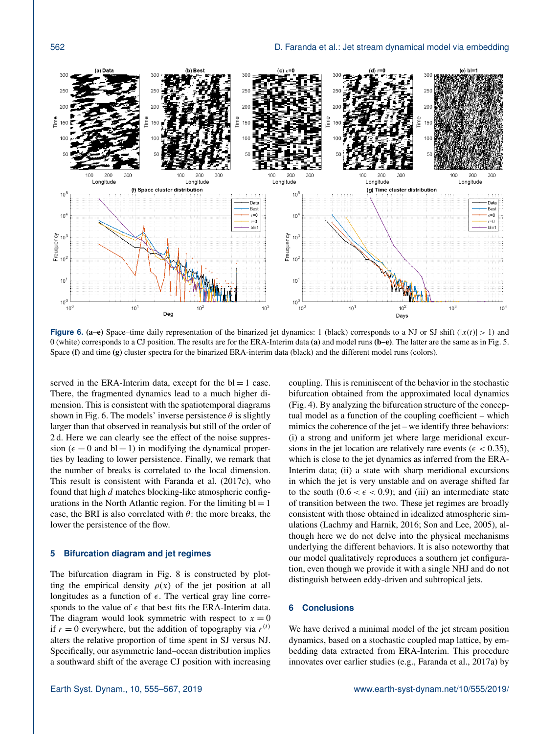<span id="page-7-2"></span>

**Figure 6. (a–e)** Space–time daily representation of the binarized jet dynamics: 1 (black) corresponds to a NJ or SJ shift ( $|x(t)| > 1$ ) and 0 (white) corresponds to a CJ position. The results are for the ERA-Interim data (a) and model runs ( $b-e$ ). The latter are the same as in Fig. [5.](#page-6-0) Space (f) and time (g) cluster spectra for the binarized ERA-interim data (black) and the different model runs (colors).

served in the ERA-Interim data, except for the  $bl = 1$  case. There, the fragmented dynamics lead to a much higher dimension. This is consistent with the spatiotemporal diagrams shown in Fig. [6.](#page-7-2) The models' inverse persistence  $\theta$  is slightly larger than that observed in reanalysis but still of the order of 2 d. Here we can clearly see the effect of the noise suppression ( $\epsilon = 0$  and bl = 1) in modifying the dynamical properties by leading to lower persistence. Finally, we remark that the number of breaks is correlated to the local dimension. This result is consistent with [Faranda et al.](#page-10-13) [\(2017c\)](#page-10-13), who found that high  $d$  matches blocking-like atmospheric configurations in the North Atlantic region. For the limiting  $bl = 1$ case, the BRI is also correlated with  $\theta$ : the more breaks, the lower the persistence of the flow.

# <span id="page-7-0"></span>**5 Bifurcation diagram and jet regimes**

The bifurcation diagram in Fig. [8](#page-8-1) is constructed by plotting the empirical density  $\rho(x)$  of the jet position at all longitudes as a function of  $\epsilon$ . The vertical gray line corresponds to the value of  $\epsilon$  that best fits the ERA-Interim data. The diagram would look symmetric with respect to  $x = 0$ if  $r = 0$  everywhere, but the addition of topography via  $r^{(i)}$ alters the relative proportion of time spent in SJ versus NJ. Specifically, our asymmetric land–ocean distribution implies a southward shift of the average CJ position with increasing coupling. This is reminiscent of the behavior in the stochastic bifurcation obtained from the approximated local dynamics (Fig. [4\)](#page-5-2). By analyzing the bifurcation structure of the conceptual model as a function of the coupling coefficient – which mimics the coherence of the jet – we identify three behaviors: (i) a strong and uniform jet where large meridional excursions in the jet location are relatively rare events ( $\epsilon$  < 0.35), which is close to the jet dynamics as inferred from the ERA-Interim data; (ii) a state with sharp meridional excursions in which the jet is very unstable and on average shifted far to the south  $(0.6 < \epsilon < 0.9)$ ; and (iii) an intermediate state of transition between the two. These jet regimes are broadly consistent with those obtained in idealized atmospheric simulations [\(Lachmy and Harnik,](#page-11-40) [2016;](#page-11-40) [Son and Lee,](#page-11-41) [2005\)](#page-11-41), although here we do not delve into the physical mechanisms underlying the different behaviors. It is also noteworthy that our model qualitatively reproduces a southern jet configuration, even though we provide it with a single NHJ and do not distinguish between eddy-driven and subtropical jets.

# <span id="page-7-1"></span>**6 Conclusions**

We have derived a minimal model of the jet stream position dynamics, based on a stochastic coupled map lattice, by embedding data extracted from ERA-Interim. This procedure innovates over earlier studies (e.g., [Faranda et al.,](#page-10-9) [2017a\)](#page-10-9) by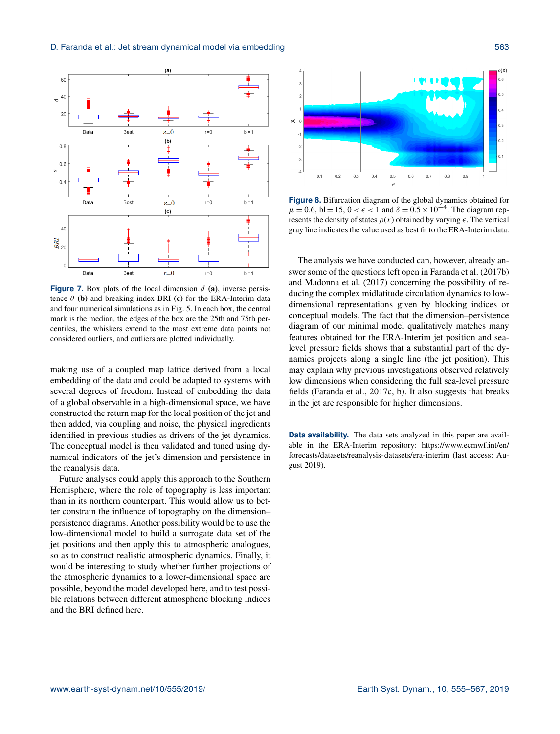<span id="page-8-0"></span>

**Figure 7.** Box plots of the local dimension  $d$  (a), inverse persistence  $\theta$  (b) and breaking index BRI (c) for the ERA-Interim data and four numerical simulations as in Fig. [5.](#page-6-0) In each box, the central mark is the median, the edges of the box are the 25th and 75th percentiles, the whiskers extend to the most extreme data points not considered outliers, and outliers are plotted individually.

making use of a coupled map lattice derived from a local embedding of the data and could be adapted to systems with several degrees of freedom. Instead of embedding the data of a global observable in a high-dimensional space, we have constructed the return map for the local position of the jet and then added, via coupling and noise, the physical ingredients identified in previous studies as drivers of the jet dynamics. The conceptual model is then validated and tuned using dynamical indicators of the jet's dimension and persistence in the reanalysis data.

Future analyses could apply this approach to the Southern Hemisphere, where the role of topography is less important than in its northern counterpart. This would allow us to better constrain the influence of topography on the dimension– persistence diagrams. Another possibility would be to use the low-dimensional model to build a surrogate data set of the jet positions and then apply this to atmospheric analogues, so as to construct realistic atmospheric dynamics. Finally, it would be interesting to study whether further projections of the atmospheric dynamics to a lower-dimensional space are possible, beyond the model developed here, and to test possible relations between different atmospheric blocking indices and the BRI defined here.

<span id="page-8-1"></span>

**Figure 8.** Bifurcation diagram of the global dynamics obtained for  $\mu = 0.6$ , bl = 15, 0 <  $\epsilon$  < 1 and  $\delta = 0.5 \times 10^{-4}$ . The diagram represents the density of states  $\rho(x)$  obtained by varying  $\epsilon$ . The vertical gray line indicates the value used as best fit to the ERA-Interim data.

The analysis we have conducted can, however, already answer some of the questions left open in [Faranda et al.](#page-10-14) [\(2017b\)](#page-10-14) and [Madonna et al.](#page-11-39) [\(2017\)](#page-11-39) concerning the possibility of reducing the complex midlatitude circulation dynamics to lowdimensional representations given by blocking indices or conceptual models. The fact that the dimension–persistence diagram of our minimal model qualitatively matches many features obtained for the ERA-Interim jet position and sealevel pressure fields shows that a substantial part of the dynamics projects along a single line (the jet position). This may explain why previous investigations observed relatively low dimensions when considering the full sea-level pressure fields [\(Faranda et al.,](#page-10-13) [2017c,](#page-10-13) [b\)](#page-10-14). It also suggests that breaks in the jet are responsible for higher dimensions.

**Data availability.** The data sets analyzed in this paper are available in the ERA-Interim repository: [https://www.ecmwf.int/en/](https://www.ecmwf.int/en/forecasts/datasets/reanalysis-datasets/era-interim) [forecasts/datasets/reanalysis-datasets/era-interim](https://www.ecmwf.int/en/forecasts/datasets/reanalysis-datasets/era-interim) (last access: August 2019).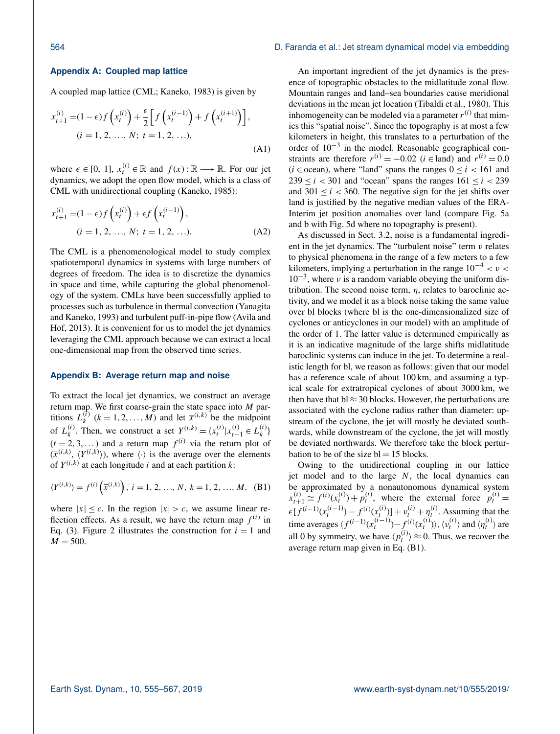# <span id="page-9-0"></span>**Appendix A: Coupled map lattice**

A coupled map lattice (CML; [Kaneko,](#page-11-28) [1983\)](#page-11-28) is given by

$$
x_{t+1}^{(i)} = (1 - \epsilon)f\left(x_t^{(i)}\right) + \frac{\epsilon}{2}\left[f\left(x_t^{(i-1)}\right) + f\left(x_t^{(i+1)}\right)\right],
$$
  
(*i* = 1, 2, ..., *N*; *t* = 1, 2, ...), (A1)

where  $\epsilon \in [0, 1]$ ,  $x_t^{(i)} \in \mathbb{R}$  and  $f(x) : \mathbb{R} \longrightarrow \mathbb{R}$ . For our jet dynamics, we adopt the open flow model, which is a class of CML with unidirectional coupling [\(Kaneko,](#page-11-42) [1985\)](#page-11-42):

$$
x_{t+1}^{(i)} = (1 - \epsilon)f\left(x_t^{(i)}\right) + \epsilon f\left(x_t^{(i-1)}\right),
$$
  
(*i* = 1, 2, ..., *N*; *t* = 1, 2, ...). (A2)

The CML is a phenomenological model to study complex spatiotemporal dynamics in systems with large numbers of degrees of freedom. The idea is to discretize the dynamics in space and time, while capturing the global phenomenology of the system. CMLs have been successfully applied to processes such as turbulence in thermal convection [\(Yanagita](#page-12-7) [and Kaneko,](#page-12-7) [1993\)](#page-12-7) and turbulent puff-in-pipe flow [\(Avila and](#page-10-20) [Hof,](#page-10-20) [2013\)](#page-10-20). It is convenient for us to model the jet dynamics leveraging the CML approach because we can extract a local one-dimensional map from the observed time series.

#### <span id="page-9-1"></span>**Appendix B: Average return map and noise**

To extract the local jet dynamics, we construct an average return map. We first coarse-grain the state space into  $M$  partitions  $L_k^{(\tilde{i})}$  $k_k^{(i)}$   $(k = 1, 2, ..., M)$  and let  $\overline{x}^{(i,k)}$  be the midpoint of  $L_k^{(i)}$ (i). Then, we construct a set  $Y^{(i,k)} = \{x_t^{(i)} | x_{t-1}^{(i)} \in L_k^{(i)}\}$  $\binom{l}{k}$  $(t = 2, 3, ...)$  and a return map  $f^{(i)}$  via the return plot of  $(\bar{x}^{(i,k)}, \langle Y^{(i,k)} \rangle)$ , where  $\langle \cdot \rangle$  is the average over the elements of  $Y^{(i,k)}$  at each longitude i and at each partition k:

$$
\langle Y^{(i,k)} \rangle = f^{(i)}\left(\overline{x}^{(i,k)}\right), \ i = 1, 2, ..., N, \ k = 1, 2, ..., M, \ (B1)
$$

where  $|x| \leq c$ . In the region  $|x| > c$ , we assume linear reflection effects. As a result, we have the return map  $f^{(i)}$  in Eq. [\(3\)](#page-3-2). Figure [2](#page-3-1) illustrates the construction for  $i = 1$  and  $M = 500$ .

An important ingredient of the jet dynamics is the presence of topographic obstacles to the midlatitude zonal flow. Mountain ranges and land–sea boundaries cause meridional deviations in the mean jet location [\(Tibaldi et al.,](#page-12-8) [1980\)](#page-12-8). This inhomogeneity can be modeled via a parameter  $r^{(i)}$  that mimics this "spatial noise". Since the topography is at most a few kilometers in height, this translates to a perturbation of the order of  $10^{-3}$  in the model. Reasonable geographical constraints are therefore  $r^{(i)} = -0.02$  ( $i \in$ land) and  $r^{(i)} = 0.0$ ( $i \in \text{ocean}$ ), where "land" spans the ranges  $0 \le i \le 161$  and  $239 \le i < 301$  and "ocean" spans the ranges  $161 \le i < 239$ and  $301 \le i \le 360$ . The negative sign for the jet shifts over land is justified by the negative median values of the ERA-Interim jet position anomalies over land (compare Fig. [5a](#page-6-0) and b with Fig. [5d](#page-6-0) where no topography is present).

As discussed in Sect. [3.2,](#page-3-4) noise is a fundamental ingredient in the jet dynamics. The "turbulent noise" term  $\nu$  relates to physical phenomena in the range of a few meters to a few kilometers, implying a perturbation in the range  $10^{-4} < v <$ 10<sup>-3</sup>, where *v* is a random variable obeying the uniform distribution. The second noise term,  $\eta$ , relates to baroclinic activity, and we model it as a block noise taking the same value over bl blocks (where bl is the one-dimensionalized size of cyclones or anticyclones in our model) with an amplitude of the order of 1. The latter value is determined empirically as it is an indicative magnitude of the large shifts midlatitude baroclinic systems can induce in the jet. To determine a realistic length for bl, we reason as follows: given that our model has a reference scale of about 100 km, and assuming a typical scale for extratropical cyclones of about 3000 km, we then have that  $bl \approx 30$  blocks. However, the perturbations are associated with the cyclone radius rather than diameter: upstream of the cyclone, the jet will mostly be deviated southwards, while downstream of the cyclone, the jet will mostly be deviated northwards. We therefore take the block perturbation to be of the size  $bl = 15$  blocks.

<span id="page-9-2"></span>Owing to the unidirectional coupling in our lattice jet model and to the large  $N$ , the local dynamics can be approximated by a nonautonomous dynamical system  $x_{t+1}^{(i)} \approx f^{(i)}(x_t^{(i)}) + p_t^{(i)}$ , where the external force  $p_t^{(i)} =$  $\epsilon[f^{(i-1)}(x_t^{(i-1)}) - f^{(i)}(x_t^{(i)})] + v_t^{(i)} + \eta_t^{(i)}$ . Assuming that the time averages  $\langle f^{(i-1)}(x_t^{(i-1)}) - f^{(i)}(x_t^{(i)}) \rangle$ ,  $\langle v_t^{(i)} \rangle$  and  $\langle \eta_t^{(i)} \rangle$  are all 0 by symmetry, we have  $\langle p_t^{(i)} \rangle \approx 0$ . Thus, we recover the average return map given in Eq. [\(B1\)](#page-9-2).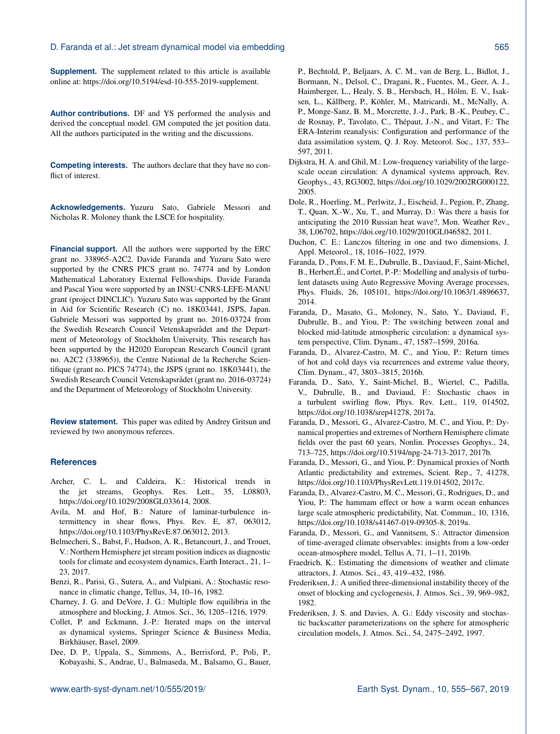**Supplement.** The supplement related to this article is available online at: [https://doi.org/10.5194/esd-10-555-2019-supplement.](https://doi.org/10.5194/esd-10-555-2019-supplement)

**Author contributions.** DF and YS performed the analysis and derived the conceptual model. GM computed the jet position data. All the authors participated in the writing and the discussions.

**Competing interests.** The authors declare that they have no conflict of interest.

**Acknowledgements.** Yuzuru Sato, Gabriele Messori and Nicholas R. Moloney thank the LSCE for hospitality.

**Financial support.** All the authors were supported by the ERC grant no. 338965-A2C2. Davide Faranda and Yuzuru Sato were supported by the CNRS PICS grant no. 74774 and by London Mathematical Laboratory External Fellowships. Davide Faranda and Pascal Yiou were supported by an INSU-CNRS-LEFE-MANU grant (project DINCLIC). Yuzuru Sato was supported by the Grant in Aid for Scientific Research (C) no. 18K03441, JSPS, Japan. Gabriele Messori was supported by grant no. 2016-03724 from the Swedish Research Council Vetenskapsrådet and the Department of Meteorology of Stockholm University. This research has been supported by the H2020 European Research Council (grant no. A2C2 (338965)), the Centre National de la Recherche Scientifique (grant no. PICS 74774), the JSPS (grant no. 18K03441), the Swedish Research Council Vetenskapsrådet (grant no. 2016-03724) and the Department of Meteorology of Stockholm University.

**Review statement.** This paper was edited by Andrey Gritsun and reviewed by two anonymous referees.

# **References**

- <span id="page-10-0"></span>Archer, C. L. and Caldeira, K.: Historical trends in the jet streams, Geophys. Res. Lett., 35, L08803, https://doi.org[/10.1029/2008GL033614,](https://doi.org/10.1029/2008GL033614) 2008.
- <span id="page-10-20"></span>Avila, M. and Hof, B.: Nature of laminar-turbulence intermittency in shear flows, Phys. Rev. E, 87, 063012, https://doi.org[/10.1103/PhysRevE.87.063012,](https://doi.org/10.1103/PhysRevE.87.063012) 2013.
- <span id="page-10-1"></span>Belmecheri, S., Babst, F., Hudson, A. R., Betancourt, J., and Trouet, V.: Northern Hemisphere jet stream position indices as diagnostic tools for climate and ecosystem dynamics, Earth Interact., 21, 1– 23, 2017.
- <span id="page-10-7"></span>Benzi, R., Parisi, G., Sutera, A., and Vulpiani, A.: Stochastic resonance in climatic change, Tellus, 34, 10–16, 1982.
- <span id="page-10-3"></span>Charney, J. G. and DeVore, J. G.: Multiple flow equilibria in the atmosphere and blocking, J. Atmos. Sci., 36, 1205–1216, 1979.
- <span id="page-10-12"></span>Collet, P. and Eckmann, J.-P.: Iterated maps on the interval as dynamical systems, Springer Science & Business Media, Birkhäuser, Basel, 2009.
- <span id="page-10-10"></span>Dee, D. P., Uppala, S., Simmons, A., Berrisford, P., Poli, P., Kobayashi, S., Andrae, U., Balmaseda, M., Balsamo, G., Bauer,

P., Bechtold, P., Beljaars, A. C. M., van de Berg, L., Bidlot, J., Bormann, N., Delsol, C., Dragani, R., Fuentes, M., Geer, A. J., Haimberger, L., Healy, S. B., Hersbach, H., Hólm, E. V., Isaksen, L., Kållberg, P., Köhler, M., Matricardi, M., McNally, A. P., Monge-Sanz, B. M., Morcrette, J.-J., Park, B.-K., Peubey, C., de Rosnay, P., Tavolato, C., Thépaut, J.-N., and Vitart, F.: The ERA-Interim reanalysis: Configuration and performance of the data assimilation system, Q. J. Roy. Meteorol. Soc., 137, 553– 597, 2011.

- <span id="page-10-6"></span>Dijkstra, H. A. and Ghil, M.: Low-frequency variability of the largescale ocean circulation: A dynamical systems approach, Rev. Geophys., 43, RG3002, https://doi.org[/10.1029/2002RG000122,](https://doi.org/10.1029/2002RG000122) 2005.
- <span id="page-10-2"></span>Dole, R., Hoerling, M., Perlwitz, J., Eischeid, J., Pegion, P., Zhang, T., Quan, X.-W., Xu, T., and Murray, D.: Was there a basis for anticipating the 2010 Russian heat wave?, Mon. Weather Rev., 38, L06702, https://doi.org[/10.1029/2010GL046582,](https://doi.org/10.1029/2010GL046582) 2011.
- <span id="page-10-11"></span>Duchon, C. E.: Lanczos filtering in one and two dimensions, J. Appl. Meteorol., 18, 1016–1022, 1979.
- <span id="page-10-19"></span>Faranda, D., Pons, F. M. E., Dubrulle, B., Daviaud, F., Saint-Michel, B., Herbert,É., and Cortet, P.-P.: Modelling and analysis of turbulent datasets using Auto Regressive Moving Average processes, Phys. Fluids, 26, 105101, https://doi.org[/10.1063/1.4896637,](https://doi.org/10.1063/1.4896637) 2014.
- <span id="page-10-5"></span>Faranda, D., Masato, G., Moloney, N., Sato, Y., Daviaud, F., Dubrulle, B., and Yiou, P.: The switching between zonal and blocked mid-latitude atmospheric circulation: a dynamical system perspective, Clim. Dynam., 47, 1587–1599, 2016a.
- <span id="page-10-17"></span>Faranda, D., Alvarez-Castro, M. C., and Yiou, P.: Return times of hot and cold days via recurrences and extreme value theory, Clim. Dynam., 47, 3803–3815, 2016b.
- <span id="page-10-9"></span>Faranda, D., Sato, Y., Saint-Michel, B., Wiertel, C., Padilla, V., Dubrulle, B., and Daviaud, F.: Stochastic chaos in a turbulent swirling flow, Phys. Rev. Lett., 119, 014502, https://doi.org[/10.1038/srep41278,](https://doi.org/10.1038/srep41278) 2017a.
- <span id="page-10-14"></span>Faranda, D., Messori, G., Alvarez-Castro, M. C., and Yiou, P.: Dynamical properties and extremes of Northern Hemisphere climate fields over the past 60 years, Nonlin. Processes Geophys., 24, 713–725, https://doi.org[/10.5194/npg-24-713-2017,](https://doi.org/10.5194/npg-24-713-2017) 2017b.
- <span id="page-10-13"></span>Faranda, D., Messori, G., and Yiou, P.: Dynamical proxies of North Atlantic predictability and extremes, Scient. Rep., 7, 41278, https://doi.org[/10.1103/PhysRevLett.119.014502,](https://doi.org/10.1103/PhysRevLett.119.014502) 2017c.
- <span id="page-10-15"></span>Faranda, D., Alvarez-Castro, M. C., Messori, G., Rodrigues, D., and Yiou, P.: The hammam effect or how a warm ocean enhances large scale atmospheric predictability, Nat. Commun., 10, 1316, https://doi.org[/10.1038/s41467-019-09305-8,](https://doi.org/10.1038/s41467-019-09305-8) 2019a.
- <span id="page-10-16"></span>Faranda, D., Messori, G., and Vannitsem, S.: Attractor dimension of time-averaged climate observables: insights from a low-order ocean-atmosphere model, Tellus A, 71, 1–11, 2019b.
- <span id="page-10-8"></span>Fraedrich, K.: Estimating the dimensions of weather and climate attractors, J. Atmos. Sci., 43, 419–432, 1986.
- <span id="page-10-4"></span>Frederiksen, J.: A unified three-dimensional instability theory of the onset of blocking and cyclogenesis, J. Atmos. Sci., 39, 969–982, 1982.
- <span id="page-10-18"></span>Frederiksen, J. S. and Davies, A. G.: Eddy viscosity and stochastic backscatter parameterizations on the sphere for atmospheric circulation models, J. Atmos. Sci., 54, 2475–2492, 1997.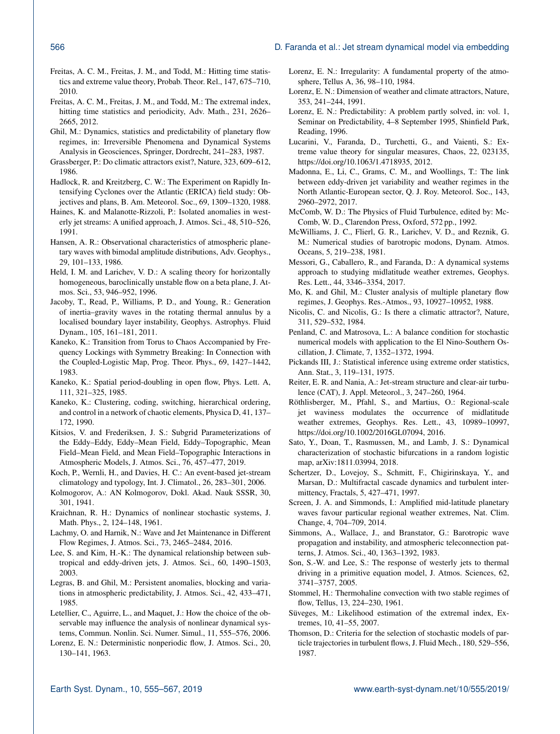## 566 D. Faranda et al.: Jet stream dynamical model via embedding

- <span id="page-11-22"></span>Freitas, A. C. M., Freitas, J. M., and Todd, M.: Hitting time statistics and extreme value theory, Probab. Theor. Rel., 147, 675–710, 2010.
- <span id="page-11-26"></span>Freitas, A. C. M., Freitas, J. M., and Todd, M.: The extremal index, hitting time statistics and periodicity, Adv. Math., 231, 2626– 2665, 2012.
- <span id="page-11-8"></span>Ghil, M.: Dynamics, statistics and predictability of planetary flow regimes, in: Irreversible Phenomena and Dynamical Systems Analysis in Geosciences, Springer, Dordrecht, 241–283, 1987.
- <span id="page-11-20"></span>Grassberger, P.: Do climatic attractors exist?, Nature, 323, 609–612, 1986.
- <span id="page-11-2"></span>Hadlock, R. and Kreitzberg, C. W.: The Experiment on Rapidly Intensifying Cyclones over the Atlantic (ERICA) field study: Objectives and plans, B. Am. Meteorol. Soc., 69, 1309–1320, 1988.
- <span id="page-11-5"></span>Haines, K. and Malanotte-Rizzoli, P.: Isolated anomalies in westerly jet streams: A unified approach, J. Atmos. Sci., 48, 510–526, 1991.
- <span id="page-11-11"></span>Hansen, A. R.: Observational characteristics of atmospheric planetary waves with bimodal amplitude distributions, Adv. Geophys., 29, 101–133, 1986.
- <span id="page-11-34"></span>Held, I. M. and Larichev, V. D.: A scaling theory for horizontally homogeneous, baroclinically unstable flow on a beta plane, J. Atmos. Sci., 53, 946–952, 1996.
- <span id="page-11-29"></span>Jacoby, T., Read, P., Williams, P. D., and Young, R.: Generation of inertia–gravity waves in the rotating thermal annulus by a localised boundary layer instability, Geophys. Astrophys. Fluid Dynam., 105, 161–181, 2011.
- <span id="page-11-28"></span>Kaneko, K.: Transition from Torus to Chaos Accompanied by Frequency Lockings with Symmetry Breaking: In Connection with the Coupled-Logistic Map, Prog. Theor. Phys., 69, 1427–1442, 1983.
- <span id="page-11-42"></span>Kaneko, K.: Spatial period-doubling in open flow, Phys. Lett. A, 111, 321–325, 1985.
- <span id="page-11-37"></span>Kaneko, K.: Clustering, coding, switching, hierarchical ordering, and control in a network of chaotic elements, Physica D, 41, 137– 172, 1990.
- <span id="page-11-35"></span>Kitsios, V. and Frederiksen, J. S.: Subgrid Parameterizations of the Eddy–Eddy, Eddy–Mean Field, Eddy–Topographic, Mean Field–Mean Field, and Mean Field–Topographic Interactions in Atmospheric Models, J. Atmos. Sci., 76, 457–477, 2019.
- <span id="page-11-4"></span>Koch, P., Wernli, H., and Davies, H. C.: An event-based jet-stream climatology and typology, Int. J. Climatol., 26, 283–301, 2006.
- <span id="page-11-33"></span>Kolmogorov, A.: AN Kolmogorov, Dokl. Akad. Nauk SSSR, 30, 301, 1941.
- <span id="page-11-30"></span>Kraichnan, R. H.: Dynamics of nonlinear stochastic systems, J. Math. Phys., 2, 124–148, 1961.
- <span id="page-11-40"></span>Lachmy, O. and Harnik, N.: Wave and Jet Maintenance in Different Flow Regimes, J. Atmos. Sci., 73, 2465–2484, 2016.
- <span id="page-11-3"></span>Lee, S. and Kim, H.-K.: The dynamical relationship between subtropical and eddy-driven jets, J. Atmos. Sci., 60, 1490–1503, 2003.
- <span id="page-11-7"></span>Legras, B. and Ghil, M.: Persistent anomalies, blocking and variations in atmospheric predictability, J. Atmos. Sci., 42, 433–471, 1985.
- <span id="page-11-18"></span>Letellier, C., Aguirre, L., and Maquet, J.: How the choice of the observable may influence the analysis of nonlinear dynamical systems, Commun. Nonlin. Sci. Numer. Simul., 11, 555–576, 2006.
- <span id="page-11-13"></span>Lorenz, E. N.: Deterministic nonperiodic flow, J. Atmos. Sci., 20, 130–141, 1963.
- <span id="page-11-16"></span>Lorenz, E. N.: Irregularity: A fundamental property of the atmosphere, Tellus A, 36, 98–110, 1984.
- <span id="page-11-21"></span>Lorenz, E. N.: Dimension of weather and climate attractors, Nature, 353, 241–244, 1991.
- <span id="page-11-17"></span>Lorenz, E. N.: Predictability: A problem partly solved, in: vol. 1, Seminar on Predictability, 4–8 September 1995, Shinfield Park, Reading, 1996.
- <span id="page-11-23"></span>Lucarini, V., Faranda, D., Turchetti, G., and Vaienti, S.: Extreme value theory for singular measures, Chaos, 22, 023135, https://doi.org[/10.1063/1.4718935,](https://doi.org/10.1063/1.4718935) 2012.
- <span id="page-11-39"></span>Madonna, E., Li, C., Grams, C. M., and Woollings, T.: The link between eddy-driven jet variability and weather regimes in the North Atlantic-European sector, Q. J. Roy. Meteorol. Soc., 143, 2960–2972, 2017.
- <span id="page-11-32"></span>McComb, W. D.: The Physics of Fluid Turbulence, edited by: Mc-Comb, W. D., Clarendon Press, Oxford, 572 pp., 1992.
- <span id="page-11-12"></span>McWilliams, J. C., Flierl, G. R., Larichev, V. D., and Reznik, G. M.: Numerical studies of barotropic modons, Dynam. Atmos. Oceans, 5, 219–238, 1981.
- <span id="page-11-25"></span>Messori, G., Caballero, R., and Faranda, D.: A dynamical systems approach to studying midlatitude weather extremes, Geophys. Res. Lett., 44, 3346–3354, 2017.
- <span id="page-11-9"></span>Mo, K. and Ghil, M.: Cluster analysis of multiple planetary flow regimes, J. Geophys. Res.-Atmos., 93, 10927–10952, 1988.
- <span id="page-11-19"></span>Nicolis, C. and Nicolis, G.: Is there a climatic attractor?, Nature, 311, 529–532, 1984.
- <span id="page-11-14"></span>Penland, C. and Matrosova, L.: A balance condition for stochastic numerical models with application to the El Nino-Southern Oscillation, J. Climate, 7, 1352–1372, 1994.
- <span id="page-11-24"></span>Pickands III, J.: Statistical inference using extreme order statistics, Ann. Stat., 3, 119–131, 1975.
- <span id="page-11-1"></span>Reiter, E. R. and Nania, A.: Jet-stream structure and clear-air turbulence (CAT), J. Appl. Meteorol., 3, 247–260, 1964.
- <span id="page-11-0"></span>Röthlisberger, M., Pfahl, S., and Martius, O.: Regional-scale jet waviness modulates the occurrence of midlatitude weather extremes, Geophys. Res. Lett., 43, 10989–10997, https://doi.org[/10.1002/2016GL07094,](https://doi.org/10.1002/2016GL07094) 2016.
- <span id="page-11-36"></span>Sato, Y., Doan, T., Rasmussen, M., and Lamb, J. S.: Dynamical characterization of stochastic bifurcations in a random logistic map, arXiv:1811.03994, 2018.
- <span id="page-11-38"></span>Schertzer, D., Lovejoy, S., Schmitt, F., Chigirinskaya, Y., and Marsan, D.: Multifractal cascade dynamics and turbulent intermittency, Fractals, 5, 427–471, 1997.
- <span id="page-11-6"></span>Screen, J. A. and Simmonds, I.: Amplified mid-latitude planetary waves favour particular regional weather extremes, Nat. Clim. Change, 4, 704–709, 2014.
- <span id="page-11-10"></span>Simmons, A., Wallace, J., and Branstator, G.: Barotropic wave propagation and instability, and atmospheric teleconnection patterns, J. Atmos. Sci., 40, 1363–1392, 1983.
- <span id="page-11-41"></span>Son, S.-W. and Lee, S.: The response of westerly jets to thermal driving in a primitive equation model, J. Atmos. Sciences, 62, 3741–3757, 2005.
- <span id="page-11-15"></span>Stommel, H.: Thermohaline convection with two stable regimes of flow, Tellus, 13, 224–230, 1961.
- <span id="page-11-27"></span>Süveges, M.: Likelihood estimation of the extremal index, Extremes, 10, 41–55, 2007.
- <span id="page-11-31"></span>Thomson, D.: Criteria for the selection of stochastic models of particle trajectories in turbulent flows, J. Fluid Mech., 180, 529–556, 1987.